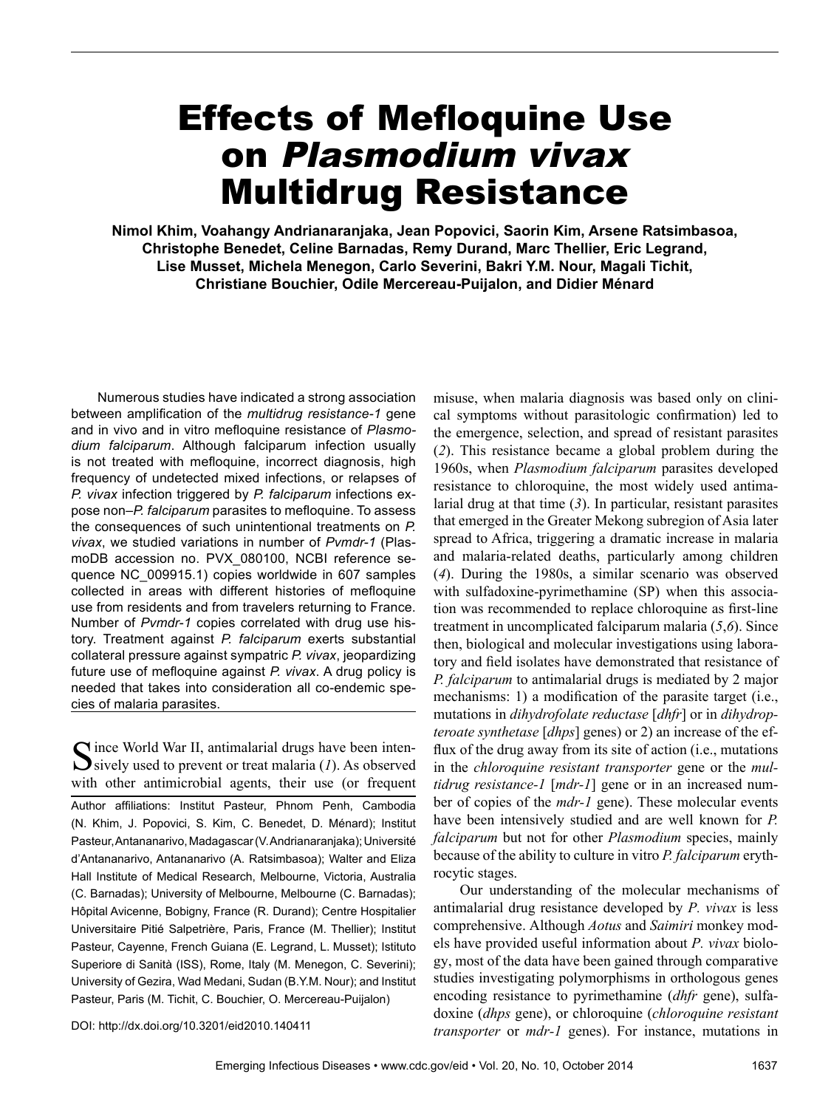# Effects of Mefloquine Use on Plasmodium vivax Multidrug Resistance

**Nimol Khim, Voahangy Andrianaranjaka, Jean Popovici, Saorin Kim, Arsene Ratsimbasoa, Christophe Benedet, Celine Barnadas, Remy Durand, Marc Thellier, Eric Legrand, Lise Musset, Michela Menegon, Carlo Severini, Bakri Y.M. Nour, Magali Tichit, Christiane Bouchier, Odile Mercereau-Puijalon, and Didier Ménard**

Numerous studies have indicated a strong association between amplification of the *multidrug resistance-1* gene and in vivo and in vitro mefloquine resistance of *Plasmodium falciparum*. Although falciparum infection usually is not treated with mefloquine, incorrect diagnosis, high frequency of undetected mixed infections, or relapses of *P. vivax* infection triggered by *P. falciparum* infections expose non–*P. falciparum* parasites to mefloquine. To assess the consequences of such unintentional treatments on *P. vivax*, we studied variations in number of *Pvmdr-1* (PlasmoDB accession no. PVX\_080100, NCBI reference sequence NC\_009915.1) copies worldwide in 607 samples collected in areas with different histories of mefloquine use from residents and from travelers returning to France. Number of *Pvmdr*-*1* copies correlated with drug use history. Treatment against *P. falciparum* exerts substantial collateral pressure against sympatric *P. vivax*, jeopardizing future use of mefloquine against *P. vivax*. A drug policy is needed that takes into consideration all co-endemic species of malaria parasites.

 $\bigcap$  ince World War II, antimalarial drugs have been inten- $\bigcup$  sively used to prevent or treat malaria (*1*). As observed with other antimicrobial agents, their use (or frequent Author affiliations: Institut Pasteur, Phnom Penh, Cambodia (N. Khim, J. Popovici, S. Kim, C. Benedet, D. Ménard); Institut Pasteur,Antananarivo,Madagascar(V.Andrianaranjaka);Université d'Antananarivo, Antananarivo (A. Ratsimbasoa); Walter and Eliza Hall Institute of Medical Research, Melbourne, Victoria, Australia (C. Barnadas); University of Melbourne, Melbourne (C. Barnadas); Hôpital Avicenne, Bobigny, France (R. Durand); Centre Hospitalier Universitaire Pitié Salpetrière, Paris, France (M. Thellier); Institut Pasteur, Cayenne, French Guiana (E. Legrand, L. Musset); Istituto Superiore di Sanità (ISS), Rome, Italy (M. Menegon, C. Severini); University of Gezira, Wad Medani, Sudan (B.Y.M. Nour); and Institut Pasteur, Paris (M. Tichit, C. Bouchier, O. Mercereau-Puijalon)

misuse, when malaria diagnosis was based only on clinical symptoms without parasitologic confirmation) led to the emergence, selection, and spread of resistant parasites (*2*). This resistance became a global problem during the 1960s, when *Plasmodium falciparum* parasites developed resistance to chloroquine, the most widely used antimalarial drug at that time (*3*). In particular, resistant parasites that emerged in the Greater Mekong subregion of Asia later spread to Africa, triggering a dramatic increase in malaria and malaria-related deaths, particularly among children (*4*). During the 1980s, a similar scenario was observed with sulfadoxine-pyrimethamine (SP) when this association was recommended to replace chloroquine as first-line treatment in uncomplicated falciparum malaria (*5*,*6*). Since then, biological and molecular investigations using laboratory and field isolates have demonstrated that resistance of *P. falciparum* to antimalarial drugs is mediated by 2 major mechanisms: 1) a modification of the parasite target (i.e., mutations in *dihydrofolate reductase* [*dhfr*] or in *dihydropteroate synthetase* [*dhps*] genes) or 2) an increase of the efflux of the drug away from its site of action (i.e., mutations in the *chloroquine resistant transporter* gene or the *multidrug resistance-1* [*mdr-1*] gene or in an increased number of copies of the *mdr-1* gene). These molecular events have been intensively studied and are well known for *P. falciparum* but not for other *Plasmodium* species, mainly because of the ability to culture in vitro *P. falciparum* erythrocytic stages.

Our understanding of the molecular mechanisms of antimalarial drug resistance developed by *P. vivax* is less comprehensive. Although *Aotus* and *Saimiri* monkey models have provided useful information about *P. vivax* biology, most of the data have been gained through comparative studies investigating polymorphisms in orthologous genes encoding resistance to pyrimethamine (*dhfr* gene), sulfadoxine (*dhps* gene), or chloroquine (*chloroquine resistant transporter* or *mdr-1* genes). For instance, mutations in

DOI: http://dx.doi.org/10.3201/eid2010.140411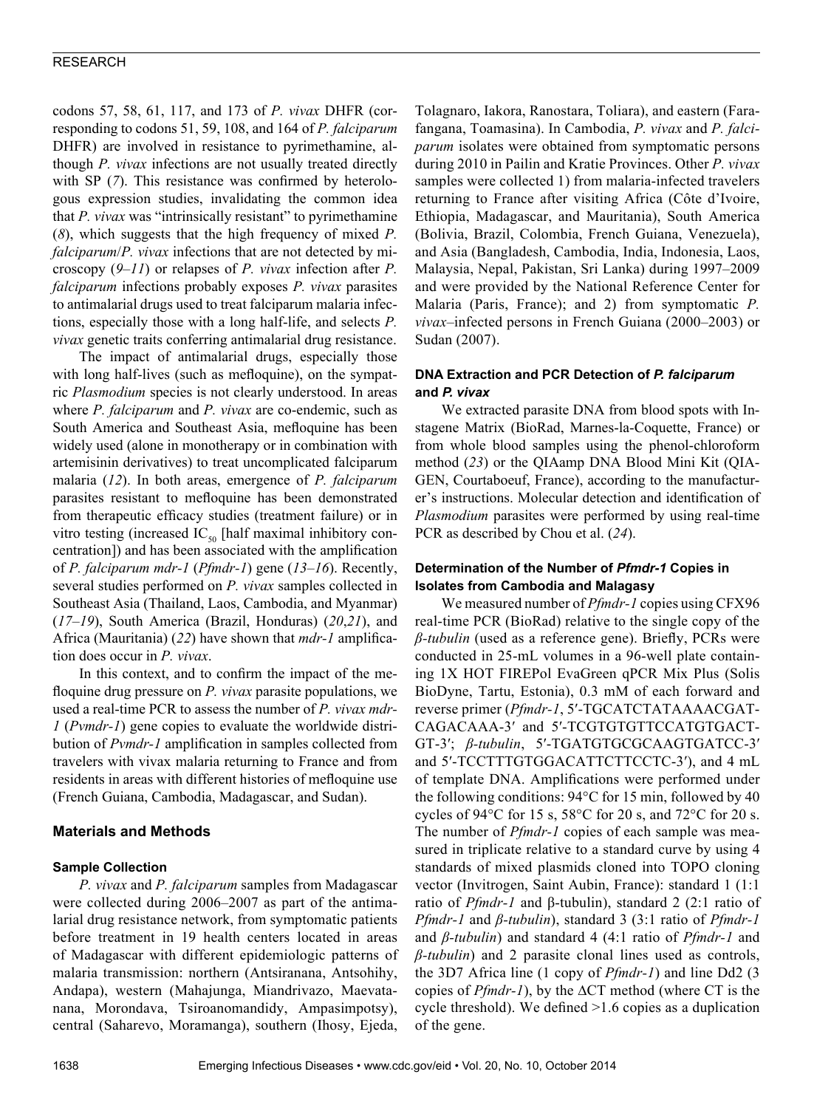codons 57, 58, 61, 117, and 173 of *P. vivax* DHFR (corresponding to codons 51, 59, 108, and 164 of *P. falciparum* DHFR) are involved in resistance to pyrimethamine, although *P. vivax* infections are not usually treated directly with SP (7). This resistance was confirmed by heterologous expression studies, invalidating the common idea that *P. vivax* was "intrinsically resistant" to pyrimethamine (*8*), which suggests that the high frequency of mixed *P. falciparum*/*P. vivax* infections that are not detected by microscopy (*9*–*11*) or relapses of *P. vivax* infection after *P. falciparum* infections probably exposes *P. vivax* parasites to antimalarial drugs used to treat falciparum malaria infections, especially those with a long half-life, and selects *P. vivax* genetic traits conferring antimalarial drug resistance.

The impact of antimalarial drugs, especially those with long half-lives (such as mefloquine), on the sympatric *Plasmodium* species is not clearly understood. In areas where *P. falciparum* and *P. vivax* are co-endemic, such as South America and Southeast Asia, mefloquine has been widely used (alone in monotherapy or in combination with artemisinin derivatives) to treat uncomplicated falciparum malaria (*12*). In both areas, emergence of *P. falciparum* parasites resistant to mefloquine has been demonstrated from therapeutic efficacy studies (treatment failure) or in vitro testing (increased  $IC_{50}$  [half maximal inhibitory concentration]) and has been associated with the amplification of *P. falciparum mdr-1* (*Pfmdr-1*) gene (*13*–*16*). Recently, several studies performed on *P. vivax* samples collected in Southeast Asia (Thailand, Laos, Cambodia, and Myanmar) (*17*–*19*), South America (Brazil, Honduras) (*20*,*21*), and Africa (Mauritania) (*22*) have shown that *mdr-1* amplification does occur in *P. vivax*.

In this context, and to confirm the impact of the mefloquine drug pressure on *P. vivax* parasite populations, we used a real-time PCR to assess the number of *P. vivax mdr-1* (*Pvmdr-1*) gene copies to evaluate the worldwide distribution of *Pvmdr-1* amplification in samples collected from travelers with vivax malaria returning to France and from residents in areas with different histories of mefloquine use (French Guiana, Cambodia, Madagascar, and Sudan).

# **Materials and Methods**

## **Sample Collection**

*P. vivax* and *P. falciparum* samples from Madagascar were collected during 2006–2007 as part of the antimalarial drug resistance network, from symptomatic patients before treatment in 19 health centers located in areas of Madagascar with different epidemiologic patterns of malaria transmission: northern (Antsiranana, Antsohihy, Andapa), western (Mahajunga, Miandrivazo, Maevatanana, Morondava, Tsiroanomandidy, Ampasimpotsy), central (Saharevo, Moramanga), southern (Ihosy, Ejeda,

Tolagnaro, Iakora, Ranostara, Toliara), and eastern (Farafangana, Toamasina). In Cambodia, *P. vivax* and *P. falciparum* isolates were obtained from symptomatic persons during 2010 in Pailin and Kratie Provinces. Other *P. vivax* samples were collected 1) from malaria-infected travelers returning to France after visiting Africa (Côte d'Ivoire, Ethiopia, Madagascar, and Mauritania), South America (Bolivia, Brazil, Colombia, French Guiana, Venezuela), and Asia (Bangladesh, Cambodia, India, Indonesia, Laos, Malaysia, Nepal, Pakistan, Sri Lanka) during 1997–2009 and were provided by the National Reference Center for Malaria (Paris, France); and 2) from symptomatic *P. vivax*–infected persons in French Guiana (2000–2003) or Sudan (2007).

# **DNA Extraction and PCR Detection of** *P. falciparum* **and** *P. vivax*

We extracted parasite DNA from blood spots with Instagene Matrix (BioRad, Marnes-la-Coquette, France) or from whole blood samples using the phenol-chloroform method (*23*) or the QIAamp DNA Blood Mini Kit (QIA-GEN, Courtaboeuf, France), according to the manufacturer's instructions. Molecular detection and identification of *Plasmodium* parasites were performed by using real-time PCR as described by Chou et al. (*24*).

## **Determination of the Number of** *Pfmdr-1* **Copies in Isolates from Cambodia and Malagasy**

We measured number of *Pfmdr-1* copies using CFX96 real-time PCR (BioRad) relative to the single copy of the *β-tubulin* (used as a reference gene). Briefly, PCRs were conducted in 25-mL volumes in a 96-well plate containing 1X HOT FIREPol EvaGreen qPCR Mix Plus (Solis BioDyne, Tartu, Estonia), 0.3 mM of each forward and reverse primer (*Pfmdr-1*, 5′-TGCATCTATAAAACGAT-CAGACAAA-3′ and 5′-TCGTGTGTTCCATGTGACT-GT-3′; *β-tubulin*, 5′-TGATGTGCGCAAGTGATCC-3′ and 5′-TCCTTTGTGGACATTCTTCCTC-3′), and 4 mL of template DNA. Amplifications were performed under the following conditions: 94°C for 15 min, followed by 40 cycles of 94°C for 15 s, 58°C for 20 s, and 72°C for 20 s. The number of *Pfmdr-1* copies of each sample was measured in triplicate relative to a standard curve by using 4 standards of mixed plasmids cloned into TOPO cloning vector (Invitrogen, Saint Aubin, France): standard 1 (1:1 ratio of *Pfmdr-1* and β-tubulin), standard 2 (2:1 ratio of *Pfmdr-1* and *β-tubulin*), standard 3 (3:1 ratio of *Pfmdr-1* and *β-tubulin*) and standard 4 (4:1 ratio of *Pfmdr-1* and *β-tubulin*) and 2 parasite clonal lines used as controls, the 3D7 Africa line (1 copy of *Pfmdr-1*) and line Dd2 (3 copies of *Pfmdr-1*), by the ∆CT method (where CT is the cycle threshold). We defined >1.6 copies as a duplication of the gene.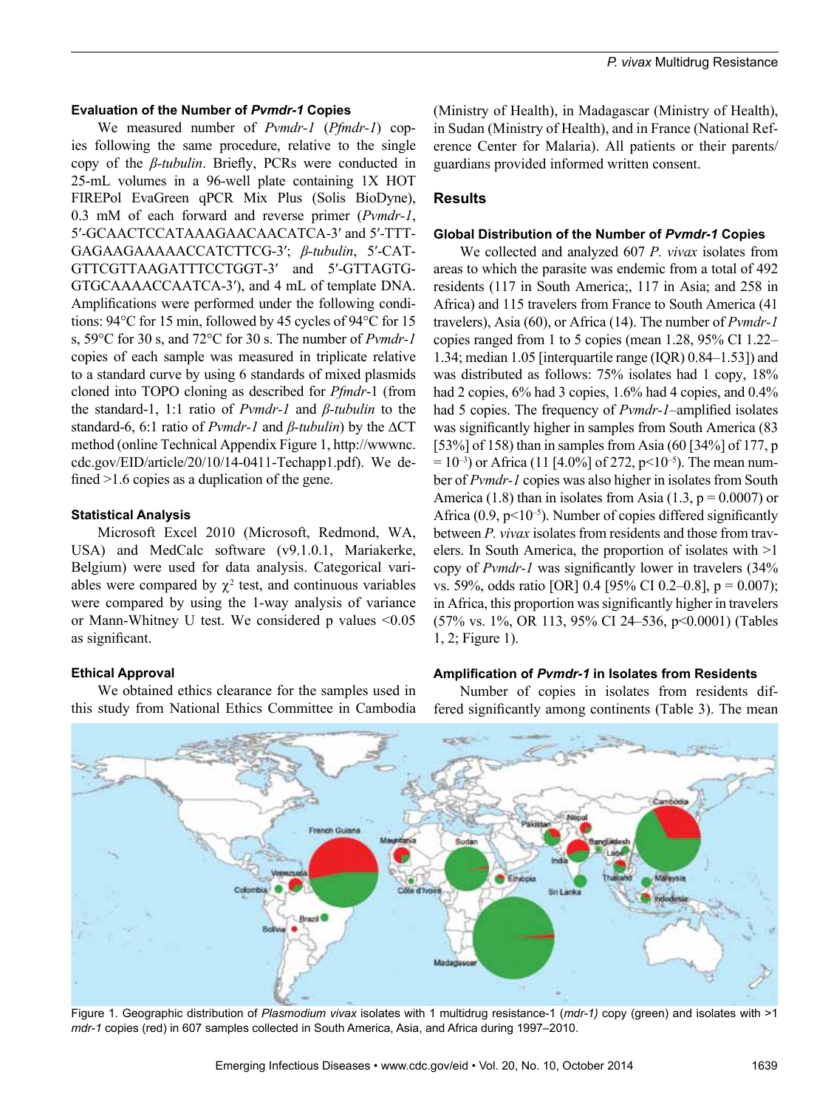#### **Evaluation of the Number of** *Pvmdr-1* **Copies**

We measured number of *Pvmdr-1* (*Pfmdr-1*) copies following the same procedure, relative to the single copy of the *β-tubulin*. Briefly, PCRs were conducted in 25-mL volumes in a 96-well plate containing 1X HOT FIREPol EvaGreen qPCR Mix Plus (Solis BioDyne), 0.3 mM of each forward and reverse primer (*Pvmdr-1*, 5′-GCAACTCCATAAAGAACAACATCA-3′ and 5′-TTT-GAGAAGAAAAACCATCTTCG-3′; *β-tubulin*, 5′-CAT-GTTCGTTAAGATTTCCTGGT-3′ and 5′-GTTAGTG-GTGCAAAACCAATCA-3′), and 4 mL of template DNA. Amplifications were performed under the following conditions: 94°C for 15 min, followed by 45 cycles of 94°C for 15 s, 59°C for 30 s, and 72°C for 30 s. The number of *Pvmdr-1* copies of each sample was measured in triplicate relative to a standard curve by using 6 standards of mixed plasmids cloned into TOPO cloning as described for *Pfmdr*-1 (from the standard-1, 1:1 ratio of *Pvmdr-1* and *β-tubulin* to the standard-6, 6:1 ratio of *Pvmdr-1* and *β-tubulin*) by the ∆CT method (online Technical Appendix Figure 1, http://wwwnc. cdc.gov/EID/article/20/10/14-0411-Techapp1.pdf). We defined  $>1.6$  copies as a duplication of the gene.

#### **Statistical Analysis**

Microsoft Excel 2010 (Microsoft, Redmond, WA, USA) and MedCalc software (v9.1.0.1, Mariakerke, Belgium) were used for data analysis. Categorical variables were compared by  $\chi^2$  test, and continuous variables were compared by using the 1-way analysis of variance or Mann-Whitney U test. We considered p values <0.05 as significant.

#### **Ethical Approval**

We obtained ethics clearance for the samples used in this study from National Ethics Committee in Cambodia

(Ministry of Health), in Madagascar (Ministry of Health), in Sudan (Ministry of Health), and in France (National Reference Center for Malaria). All patients or their parents/ guardians provided informed written consent.

#### **Results**

#### **Global Distribution of the Number of** *Pvmdr-1* **Copies**

We collected and analyzed 607 *P. vivax* isolates from areas to which the parasite was endemic from a total of 492 residents (117 in South America;, 117 in Asia; and 258 in Africa) and 115 travelers from France to South America (41 travelers), Asia (60), or Africa (14). The number of *Pvmdr-1* copies ranged from 1 to 5 copies (mean 1.28, 95% CI 1.22– 1.34; median 1.05 [interquartile range (IQR) 0.84–1.53]) and was distributed as follows:  $75\%$  isolates had 1 copy,  $18\%$ had 2 copies,  $6\%$  had 3 copies, 1.6% had 4 copies, and 0.4% had 5 copies. The frequency of *Pvmdr-1*–amplified isolates was significantly higher in samples from South America (83 [53%] of 158) than in samples from Asia (60 [34%] of 177, p  $= 10^{-3}$ ) or Africa (11 [4.0%] of 272, p<10<sup>-5</sup>). The mean number of *Pvmdr-1* copies was also higher in isolates from South America (1.8) than in isolates from Asia (1.3,  $p = 0.0007$ ) or Africa  $(0.9, p<10^{-5})$ . Number of copies differed significantly between *P. vivax* isolates from residents and those from travelers. In South America, the proportion of isolates with >1 copy of *Pvmdr-1* was significantly lower in travelers (34% vs. 59%, odds ratio [OR] 0.4 [95% CI 0.2–0.8], p = 0.007); in Africa, this proportion was significantly higher in travelers (57% vs. 1%, OR 113, 95% CI 24–536, p<0.0001) (Tables 1, 2; Figure 1).

#### **Amplification of** *Pvmdr-1* **in Isolates from Residents**

Number of copies in isolates from residents differed significantly among continents (Table 3). The mean



Figure 1. Geographic distribution of *Plasmodium vivax* isolates with 1 multidrug resistance-1 (*mdr-1)* copy (green) and isolates with >1 *mdr-1* copies (red) in 607 samples collected in South America, Asia, and Africa during 1997–2010.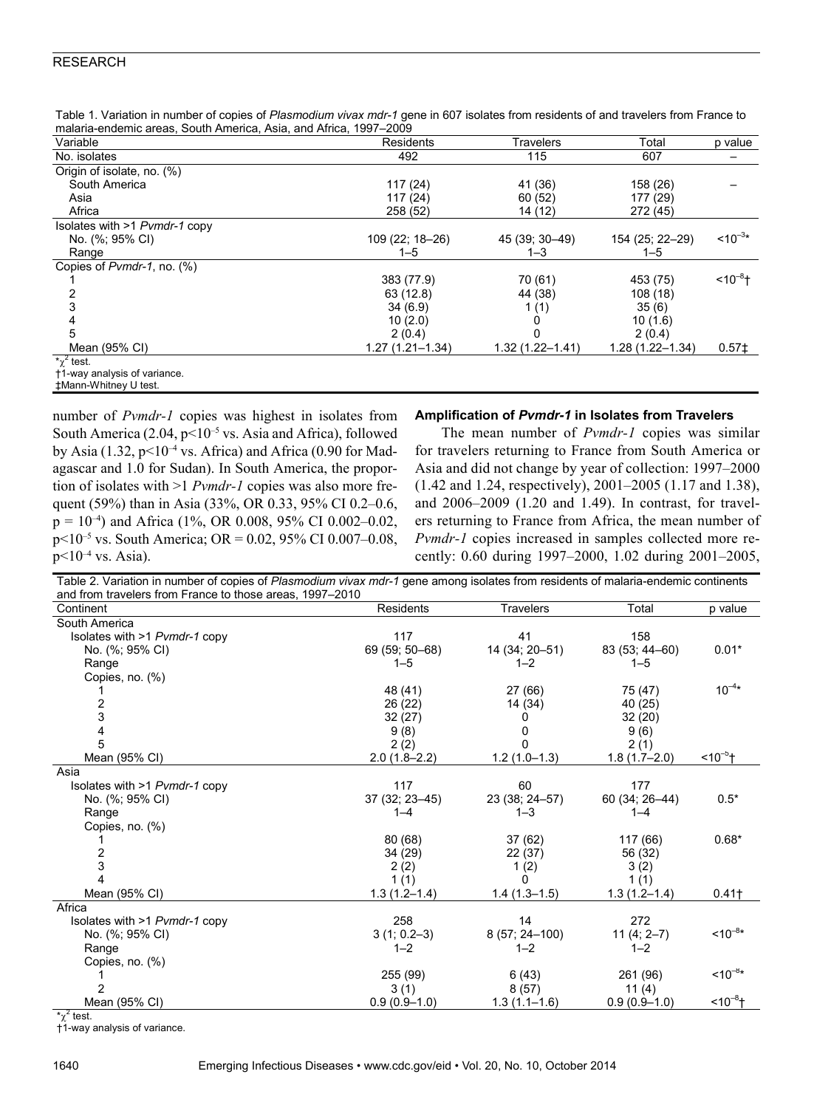| Variable                      | <b>Residents</b>    | <b>Travelers</b>    | Total               | p value           |
|-------------------------------|---------------------|---------------------|---------------------|-------------------|
| No. isolates                  | 492                 | 115                 | 607                 |                   |
| Origin of isolate, no. (%)    |                     |                     |                     |                   |
| South America                 | 117(24)             | 41 (36)             | 158 (26)            |                   |
| Asia                          | 117(24)             | 60(52)              | 177 (29)            |                   |
| Africa                        | 258 (52)            | 14 (12)             | 272 (45)            |                   |
| Isolates with >1 Pvmdr-1 copy |                     |                     |                     |                   |
| No. (%; 95% CI)               | 109 (22; 18-26)     | 45 (39; 30-49)      | 154 (25; 22-29)     | $10^{-3*}$        |
| Range                         | $1 - 5$             | $1 - 3$             | $1 - 5$             |                   |
| Copies of Pymdr-1, no. (%)    |                     |                     |                     |                   |
|                               | 383 (77.9)          | 70 (61)             | 453 (75)            | $10^{-8}$ t       |
|                               | 63 (12.8)           | 44 (38)             | 108 (18)            |                   |
|                               | 34(6.9)             | 1(1)                | 35(6)               |                   |
|                               | 10(2.0)             |                     | 10(1.6)             |                   |
| 5                             | 2(0.4)              |                     | 2(0.4)              |                   |
| Mean (95% CI)                 | $1.27(1.21 - 1.34)$ | $1.32(1.22 - 1.41)$ | $1.28(1.22 - 1.34)$ | 0.57 <sup>‡</sup> |
| $\sqrt[4]{2}$ test.           |                     |                     |                     |                   |
| +1-way analysis of variance.  |                     |                     |                     |                   |
| #Mann-Whitney U test.         |                     |                     |                     |                   |

Table 1. Variation in number of copies of Plasmodium vivax mdr-1 gene in 607 isolates from residents of and travelers from France to malaria-endemic areas, South America, Asia, and Africa, 1997–2009

number of *Pvmdr-1* copies was highest in isolates from South America (2.04, p<10–5 vs. Asia and Africa), followed by Asia (1.32,  $p<10^{-4}$  vs. Africa) and Africa (0.90 for Madagascar and 1.0 for Sudan). In South America, the proportion of isolates with >1 *Pvmdr-1* copies was also more frequent (59%) than in Asia (33%, OR 0.33, 95% CI 0.2–0.6,  $p = 10^{-4}$ ) and Africa (1%, OR 0.008, 95% CI 0.002-0.02, p<10–5 vs. South America; OR = 0.02, 95% CI 0.007–0.08,  $p<10^{-4}$  vs. Asia).

#### **Amplification of** *Pvmdr-1* **in Isolates from Travelers**

The mean number of *Pvmdr-1* copies was similar for travelers returning to France from South America or Asia and did not change by year of collection: 1997–2000 (1.42 and 1.24, respectively), 2001–2005 (1.17 and 1.38), and 2006–2009 (1.20 and 1.49). In contrast, for travelers returning to France from Africa, the mean number of *Pvmdr-1* copies increased in samples collected more recently: 0.60 during 1997–2000, 1.02 during 2001–2005,

| Table 2. Variation in number of copies of Plasmodium vivax mdr-1 gene among isolates from residents of malaria-endemic continents |                  |                  |                  |              |
|-----------------------------------------------------------------------------------------------------------------------------------|------------------|------------------|------------------|--------------|
| and from travelers from France to those areas, 1997-2010                                                                          |                  |                  |                  |              |
| Continent                                                                                                                         | <b>Residents</b> | Travelers        | Total            | p value      |
| South America                                                                                                                     |                  |                  |                  |              |
| Isolates with >1 Pvmdr-1 copy                                                                                                     | 117              | 41               | 158              |              |
| No. (%; 95% CI)                                                                                                                   | 69 (59; 50-68)   | 14 (34; 20-51)   | 83 (53; 44-60)   | $0.01*$      |
| Range                                                                                                                             | $1 - 5$          | $1 - 2$          | $1 - 5$          |              |
| Copies, no. (%)                                                                                                                   |                  |                  |                  |              |
|                                                                                                                                   | 48 (41)          | 27(66)           | 75 (47)          | $10^{-4*}$   |
| 2                                                                                                                                 | 26 (22)          | 14 (34)          | 40 (25)          |              |
| 3                                                                                                                                 | 32(27)           | O                | 32(20)           |              |
| 4                                                                                                                                 | 9(8)             | 0                | 9(6)             |              |
| 5                                                                                                                                 | 2(2)             | $\Omega$         | 2(1)             |              |
| Mean (95% CI)                                                                                                                     | $2.0(1.8-2.2)$   | $1.2(1.0-1.3)$   | $1.8(1.7-2.0)$   | $510^{-5}$ + |
| Asia                                                                                                                              |                  |                  |                  |              |
| Isolates with >1 Pvmdr-1 copy                                                                                                     | 117              | 60               | 177              |              |
| No. (%; 95% CI)                                                                                                                   | 37 (32; 23-45)   | 23 (38; 24-57)   | 60 (34; 26-44)   | $0.5*$       |
| Range                                                                                                                             | $1 - 4$          | $1 - 3$          | $1 - 4$          |              |
| Copies, no. (%)                                                                                                                   |                  |                  |                  |              |
|                                                                                                                                   | 80 (68)          | 37(62)           | 117 (66)         | $0.68*$      |
| 2                                                                                                                                 | 34 (29)          | 22(37)           | 56 (32)          |              |
| 3                                                                                                                                 | 2(2)             | 1(2)             | 3(2)             |              |
| Δ.                                                                                                                                | 1(1)             | 0                | 1(1)             |              |
| Mean (95% CI)                                                                                                                     | $1.3(1.2 - 1.4)$ | $1.4(1.3-1.5)$   | $1.3(1.2 - 1.4)$ | $0.41 +$     |
| Africa                                                                                                                            |                  |                  |                  |              |
| Isolates with >1 Pvmdr-1 copy                                                                                                     | 258              | 14               | 272              |              |
| No. (%; 95% CI)                                                                                                                   | $3(1; 0.2-3)$    | 8 (57; 24-100)   | $11(4; 2-7)$     | $10^{-8*}$   |
| Range                                                                                                                             | $1 - 2$          | $1 - 2$          | $1 - 2$          |              |
| Copies, no. (%)                                                                                                                   |                  |                  |                  |              |
|                                                                                                                                   | 255 (99)         | 6(43)            | 261 (96)         | $10^{-8*}$   |
| 2                                                                                                                                 | 3(1)             | 8(57)            | 11 $(4)$         |              |
| Mean (95% CI)                                                                                                                     | $0.9(0.9-1.0)$   | $1.3(1.1 - 1.6)$ | $0.9(0.9-1.0)$   | $10^{-8}$    |

 $*{\scriptstyle \gamma}^2$  test.

†1-way analysis of variance.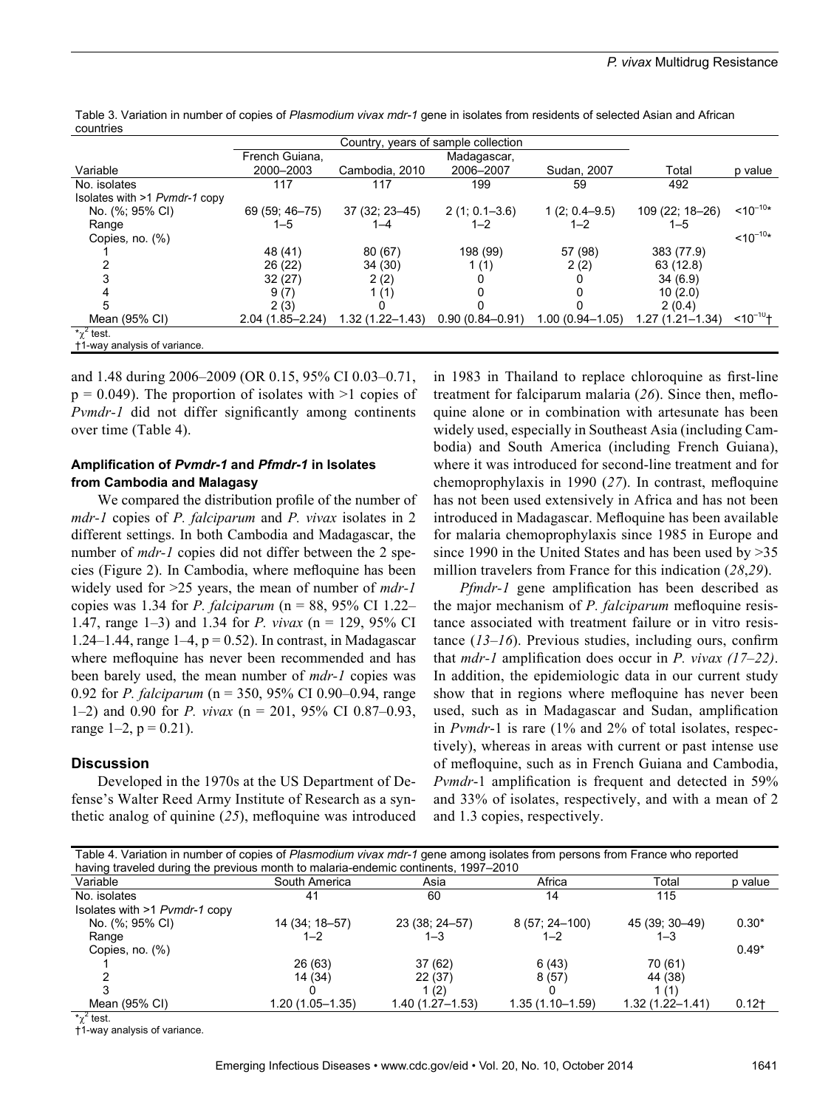| 00an 161 100                  |                                     |                     |                     |                     |                     |             |
|-------------------------------|-------------------------------------|---------------------|---------------------|---------------------|---------------------|-------------|
|                               | Country, years of sample collection |                     |                     |                     |                     |             |
|                               | French Guiana,                      |                     | Madagascar,         |                     |                     |             |
| Variable                      | 2000-2003                           | Cambodia, 2010      | 2006-2007           | Sudan, 2007         | Total               | p value     |
| No. isolates                  | 117                                 | 117                 | 199                 | 59                  | 492                 |             |
| Isolates with >1 Pvmdr-1 copy |                                     |                     |                     |                     |                     |             |
| No. (%; 95% CI)               | 69 (59; 46-75)                      | $37(32; 23-45)$     | $2(1; 0.1 - 3.6)$   | $1(2; 0.4 - 9.5)$   | 109 (22; 18-26)     | $10^{-10*}$ |
| Range                         | $1 - 5$                             |                     | $1 - 2$             | $1 - 2$             | $1 - 5$             |             |
| Copies, no. $(\%)$            |                                     |                     |                     |                     |                     | $10^{-10*}$ |
|                               | 48 (41)                             | 80 (67)             | 198 (99)            | 57 (98)             | 383 (77.9)          |             |
|                               | 26 (22)                             | 34 (30)             | 1 (1)               | 2(2)                | 63 (12.8)           |             |
|                               | 32(27)                              | 2(2)                |                     |                     | 34(6.9)             |             |
|                               | 9(7)                                | 1(1)                |                     |                     | 10(2.0)             |             |
| 5                             | 2(3)                                |                     |                     |                     | 2(0.4)              |             |
| Mean (95% CI)                 | $2.04(1.85 - 2.24)$                 | $1.32(1.22 - 1.43)$ | $0.90(0.84 - 0.91)$ | $1.00(0.94 - 1.05)$ | $1.27(1.21 - 1.34)$ | $10^{-10}$  |
| $\chi^2$ test.                |                                     |                     |                     |                     |                     |             |
| +1-way analysis of variance.  |                                     |                     |                     |                     |                     |             |

Table 3. Variation in number of copies of Plasmodium vivax mdr-1 gene in isolates from residents of selected Asian and African countries

and 1.48 during 2006–2009 (OR 0.15, 95% CI 0.03–0.71,  $p = 0.049$ . The proportion of isolates with  $>1$  copies of *Pvmdr-1* did not differ significantly among continents over time (Table 4).

# **Amplification of** *Pvmdr-1* **and** *Pfmdr-1* **in Isolates from Cambodia and Malagasy**

We compared the distribution profile of the number of *mdr-1* copies of *P. falciparum* and *P. vivax* isolates in 2 different settings. In both Cambodia and Madagascar, the number of *mdr-1* copies did not differ between the 2 species (Figure 2). In Cambodia, where mefloquine has been widely used for >25 years, the mean of number of *mdr-1* copies was 1.34 for *P. falciparum* (n = 88, 95% CI 1.22– 1.47, range 1–3) and 1.34 for *P. vivax* (n = 129, 95% CI 1.24–1.44, range  $1-4$ ,  $p = 0.52$ ). In contrast, in Madagascar where mefloquine has never been recommended and has been barely used, the mean number of *mdr-1* copies was 0.92 for *P. falciparum* (n = 350, 95% CI 0.90–0.94, range 1–2) and 0.90 for *P. vivax* (n = 201, 95% CI 0.87–0.93, range  $1-2$ ,  $p = 0.21$ ).

## **Discussion**

Developed in the 1970s at the US Department of Defense's Walter Reed Army Institute of Research as a synthetic analog of quinine (*25*), mefloquine was introduced

in 1983 in Thailand to replace chloroquine as first-line treatment for falciparum malaria (*26*). Since then, mefloquine alone or in combination with artesunate has been widely used, especially in Southeast Asia (including Cambodia) and South America (including French Guiana), where it was introduced for second-line treatment and for chemoprophylaxis in 1990 (*27*). In contrast, mefloquine has not been used extensively in Africa and has not been introduced in Madagascar. Mefloquine has been available for malaria chemoprophylaxis since 1985 in Europe and since 1990 in the United States and has been used by >35 million travelers from France for this indication (*28*,*29*).

*Pfmdr-1* gene amplification has been described as the major mechanism of *P. falciparum* mefloquine resistance associated with treatment failure or in vitro resistance (*13*–*16*). Previous studies, including ours, confirm that *mdr-1* amplification does occur in *P. vivax (17–22)*. In addition, the epidemiologic data in our current study show that in regions where mefloquine has never been used, such as in Madagascar and Sudan, amplification in *Pvmdr*-1 is rare (1% and 2% of total isolates, respectively), whereas in areas with current or past intense use of mefloquine, such as in French Guiana and Cambodia, *Pvmdr*-1 amplification is frequent and detected in 59% and 33% of isolates, respectively, and with a mean of 2 and 1.3 copies, respectively.

| Table 4. Variation in number of copies of Plasmodium vivax mdr-1 gene among isolates from persons from France who reported |                  |                  |                  |                  |         |  |  |  |
|----------------------------------------------------------------------------------------------------------------------------|------------------|------------------|------------------|------------------|---------|--|--|--|
| having traveled during the previous month to malaria-endemic continents, 1997–2010                                         |                  |                  |                  |                  |         |  |  |  |
| Variable                                                                                                                   | South America    | Asia             | Africa           | Total            | p value |  |  |  |
| No. isolates                                                                                                               | 41               | 60               | 14               | 115              |         |  |  |  |
| Isolates with >1 Pvmdr-1 copy                                                                                              |                  |                  |                  |                  |         |  |  |  |
| No. (%; 95% CI)                                                                                                            | 14 (34; 18–57)   | 23 (38; 24–57)   | $8(57; 24-100)$  | 45 (39; 30-49)   | $0.30*$ |  |  |  |
| Range                                                                                                                      | $1 - 2$          | $1 - 3$          | $1 - 2$          | $1 - 3$          |         |  |  |  |
| Copies, no. $(\%)$                                                                                                         |                  |                  |                  |                  | $0.49*$ |  |  |  |
|                                                                                                                            | 26 (63)          | 37(62)           | 6(43)            | 70 (61)          |         |  |  |  |
|                                                                                                                            | 14 (34)          | 22(37)           | 8(57)            | 44 (38)          |         |  |  |  |
|                                                                                                                            |                  | 1(2)             |                  | 1 (1)            |         |  |  |  |
| Mean (95% CI)                                                                                                              | 1.20 (1.05–1.35) | 1.40 (1.27–1.53) | 1.35 (1.10–1.59) | 1.32 (1.22–1.41) | $0.12+$ |  |  |  |

 $\epsilon$  test. †1-way analysis of variance.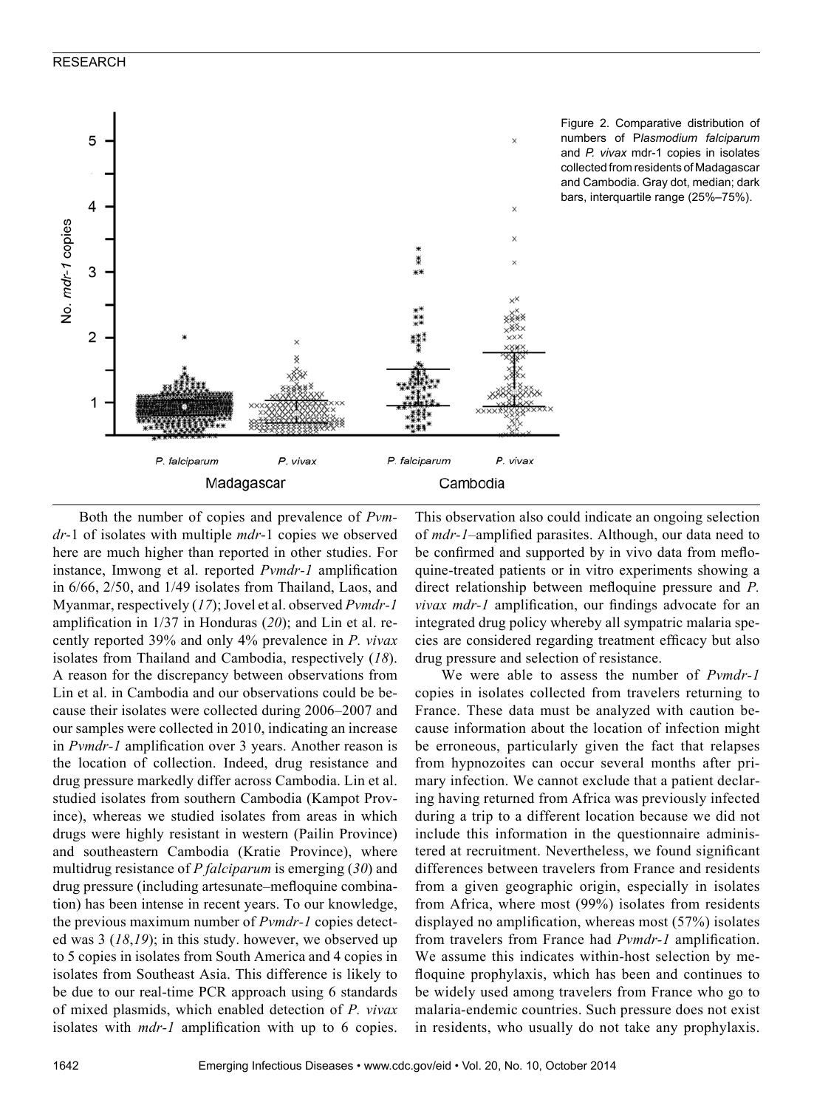



Both the number of copies and prevalence of *Pvmdr*-1 of isolates with multiple *mdr*-1 copies we observed here are much higher than reported in other studies. For instance, Imwong et al. reported *Pvmdr-1* amplification in 6/66, 2/50, and 1/49 isolates from Thailand, Laos, and Myanmar, respectively (*17*); Jovel et al. observed *Pvmdr-1* amplification in 1/37 in Honduras (*20*); and Lin et al. recently reported 39% and only 4% prevalence in *P. vivax* isolates from Thailand and Cambodia, respectively (*18*). A reason for the discrepancy between observations from Lin et al. in Cambodia and our observations could be because their isolates were collected during 2006–2007 and our samples were collected in 2010, indicating an increase in *Pvmdr-1* amplification over 3 years. Another reason is the location of collection. Indeed, drug resistance and drug pressure markedly differ across Cambodia. Lin et al. studied isolates from southern Cambodia (Kampot Province), whereas we studied isolates from areas in which drugs were highly resistant in western (Pailin Province) and southeastern Cambodia (Kratie Province), where multidrug resistance of *P falciparum* is emerging (*30*) and drug pressure (including artesunate–mefloquine combination) has been intense in recent years. To our knowledge, the previous maximum number of *Pvmdr-1* copies detected was 3 (*18*,*19*); in this study. however, we observed up to 5 copies in isolates from South America and 4 copies in isolates from Southeast Asia. This difference is likely to be due to our real-time PCR approach using 6 standards of mixed plasmids, which enabled detection of *P. vivax* isolates with *mdr-1* amplification with up to 6 copies.

This observation also could indicate an ongoing selection of *mdr-1*–amplified parasites. Although, our data need to be confirmed and supported by in vivo data from mefloquine-treated patients or in vitro experiments showing a direct relationship between mefloquine pressure and *P. vivax mdr-1* amplification, our findings advocate for an integrated drug policy whereby all sympatric malaria species are considered regarding treatment efficacy but also drug pressure and selection of resistance.

We were able to assess the number of *Pvmdr-1* copies in isolates collected from travelers returning to France. These data must be analyzed with caution because information about the location of infection might be erroneous, particularly given the fact that relapses from hypnozoites can occur several months after primary infection. We cannot exclude that a patient declaring having returned from Africa was previously infected during a trip to a different location because we did not include this information in the questionnaire administered at recruitment. Nevertheless, we found significant differences between travelers from France and residents from a given geographic origin, especially in isolates from Africa, where most (99%) isolates from residents displayed no amplification, whereas most (57%) isolates from travelers from France had *Pvmdr-1* amplification. We assume this indicates within-host selection by mefloquine prophylaxis, which has been and continues to be widely used among travelers from France who go to malaria-endemic countries. Such pressure does not exist in residents, who usually do not take any prophylaxis.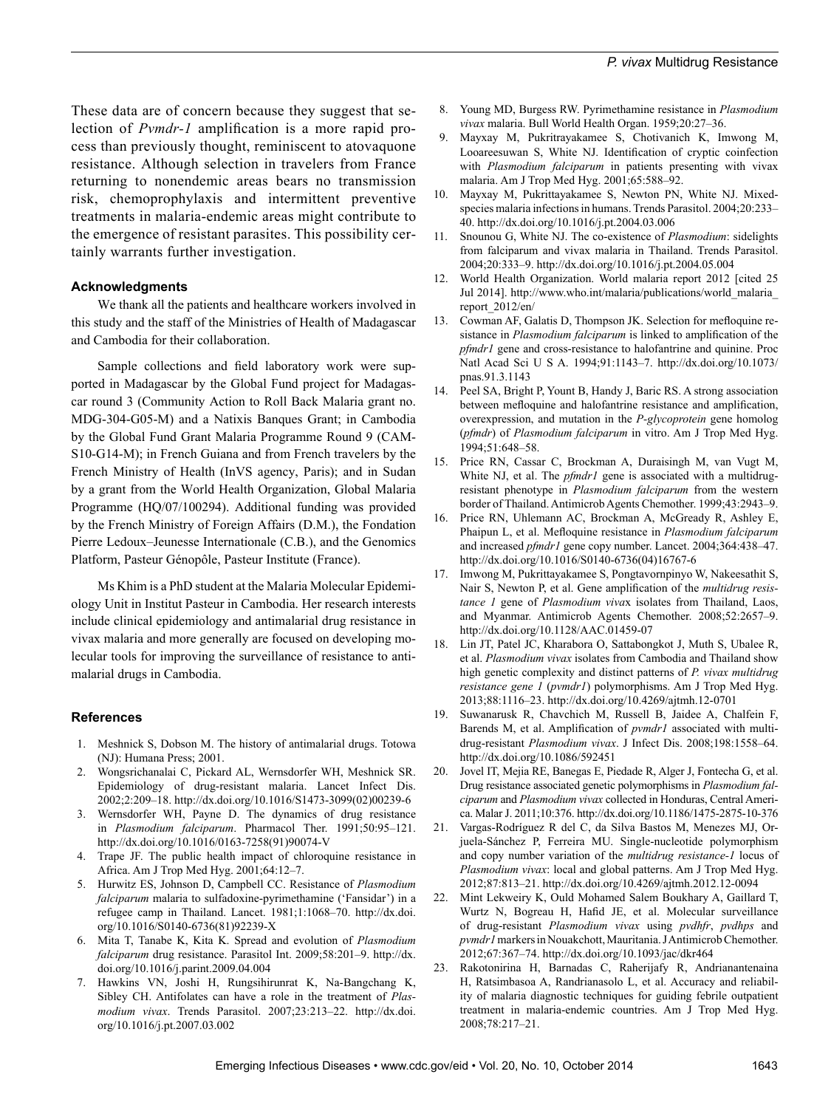These data are of concern because they suggest that selection of *Pvmdr-1* amplification is a more rapid process than previously thought, reminiscent to atovaquone resistance. Although selection in travelers from France returning to nonendemic areas bears no transmission risk, chemoprophylaxis and intermittent preventive treatments in malaria-endemic areas might contribute to the emergence of resistant parasites. This possibility certainly warrants further investigation.

#### **Acknowledgments**

We thank all the patients and healthcare workers involved in this study and the staff of the Ministries of Health of Madagascar and Cambodia for their collaboration.

Sample collections and field laboratory work were supported in Madagascar by the Global Fund project for Madagascar round 3 (Community Action to Roll Back Malaria grant no. MDG-304-G05-M) and a Natixis Banques Grant; in Cambodia by the Global Fund Grant Malaria Programme Round 9 (CAM-S10-G14-M); in French Guiana and from French travelers by the French Ministry of Health (InVS agency, Paris); and in Sudan by a grant from the World Health Organization, Global Malaria Programme (HQ/07/100294). Additional funding was provided by the French Ministry of Foreign Affairs (D.M.), the Fondation Pierre Ledoux–Jeunesse Internationale (C.B.), and the Genomics Platform, Pasteur Génopôle, Pasteur Institute (France).

Ms Khim is a PhD student at the Malaria Molecular Epidemiology Unit in Institut Pasteur in Cambodia. Her research interests include clinical epidemiology and antimalarial drug resistance in vivax malaria and more generally are focused on developing molecular tools for improving the surveillance of resistance to antimalarial drugs in Cambodia.

#### **References**

- 1. Meshnick S, Dobson M. The history of antimalarial drugs. Totowa (NJ): Humana Press; 2001.
- 2. Wongsrichanalai C, Pickard AL, Wernsdorfer WH, Meshnick SR. Epidemiology of drug-resistant malaria. Lancet Infect Dis. 2002;2:209–18. http://dx.doi.org/10.1016/S1473-3099(02)00239-6
- 3. Wernsdorfer WH, Payne D. The dynamics of drug resistance in *Plasmodium falciparum*. Pharmacol Ther. 1991;50:95–121. http://dx.doi.org/10.1016/0163-7258(91)90074-V
- 4. Trape JF. The public health impact of chloroquine resistance in Africa. Am J Trop Med Hyg. 2001;64:12–7.
- 5. Hurwitz ES, Johnson D, Campbell CC. Resistance of *Plasmodium falciparum* malaria to sulfadoxine-pyrimethamine ('Fansidar') in a refugee camp in Thailand. Lancet. 1981;1:1068–70. http://dx.doi. org/10.1016/S0140-6736(81)92239-X
- 6. Mita T, Tanabe K, Kita K. Spread and evolution of *Plasmodium falciparum* drug resistance. Parasitol Int. 2009;58:201–9. http://dx. doi.org/10.1016/j.parint.2009.04.004
- 7. Hawkins VN, Joshi H, Rungsihirunrat K, Na-Bangchang K, Sibley CH. Antifolates can have a role in the treatment of *Plasmodium vivax*. Trends Parasitol. 2007;23:213–22. http://dx.doi. org/10.1016/j.pt.2007.03.002
- 8. Young MD, Burgess RW. Pyrimethamine resistance in *Plasmodium vivax* malaria. Bull World Health Organ. 1959;20:27–36.
- 9. Mayxay M, Pukritrayakamee S, Chotivanich K, Imwong M, Looareesuwan S, White NJ. Identification of cryptic coinfection with *Plasmodium falciparum* in patients presenting with vivax malaria. Am J Trop Med Hyg. 2001;65:588–92.
- 10. Mayxay M, Pukrittayakamee S, Newton PN, White NJ. Mixedspecies malaria infections in humans. Trends Parasitol. 2004;20:233– 40. http://dx.doi.org/10.1016/j.pt.2004.03.006
- 11. Snounou G, White NJ. The co-existence of *Plasmodium*: sidelights from falciparum and vivax malaria in Thailand. Trends Parasitol. 2004;20:333–9. http://dx.doi.org/10.1016/j.pt.2004.05.004
- 12. World Health Organization. World malaria report 2012 [cited 25 Jul 2014]. http://www.who.int/malaria/publications/world\_malaria\_ report\_2012/en/
- 13. Cowman AF, Galatis D, Thompson JK. Selection for mefloquine resistance in *Plasmodium falciparum* is linked to amplification of the *pfmdr1* gene and cross-resistance to halofantrine and quinine. Proc Natl Acad Sci U S A. 1994;91:1143–7. http://dx.doi.org/10.1073/ pnas.91.3.1143
- 14. Peel SA, Bright P, Yount B, Handy J, Baric RS. A strong association between mefloquine and halofantrine resistance and amplification, overexpression, and mutation in the *P-glycoprotein* gene homolog (*pfmdr*) of *Plasmodium falciparum* in vitro. Am J Trop Med Hyg. 1994;51:648–58.
- 15. Price RN, Cassar C, Brockman A, Duraisingh M, van Vugt M, White NJ, et al. The *pfmdr1* gene is associated with a multidrugresistant phenotype in *Plasmodium falciparum* from the western border of Thailand. Antimicrob Agents Chemother. 1999;43:2943–9.
- 16. Price RN, Uhlemann AC, Brockman A, McGready R, Ashley E, Phaipun L, et al. Mefloquine resistance in *Plasmodium falciparum* and increased *pfmdr1* gene copy number. Lancet. 2004;364:438–47. http://dx.doi.org/10.1016/S0140-6736(04)16767-6
- 17. Imwong M, Pukrittayakamee S, Pongtavornpinyo W, Nakeesathit S, Nair S, Newton P, et al. Gene amplification of the *multidrug resistance 1* gene of *Plasmodium viva*x isolates from Thailand, Laos, and Myanmar. Antimicrob Agents Chemother. 2008;52:2657–9. http://dx.doi.org/10.1128/AAC.01459-07
- 18. Lin JT, Patel JC, Kharabora O, Sattabongkot J, Muth S, Ubalee R, et al. *Plasmodium vivax* isolates from Cambodia and Thailand show high genetic complexity and distinct patterns of *P. vivax multidrug resistance gene 1* (*pvmdr1*) polymorphisms. Am J Trop Med Hyg. 2013;88:1116–23. http://dx.doi.org/10.4269/ajtmh.12-0701
- 19. Suwanarusk R, Chavchich M, Russell B, Jaidee A, Chalfein F, Barends M, et al. Amplification of *pvmdr1* associated with multidrug-resistant *Plasmodium vivax*. J Infect Dis. 2008;198:1558–64. http://dx.doi.org/10.1086/592451
- 20. Jovel IT, Mejia RE, Banegas E, Piedade R, Alger J, Fontecha G, et al. Drug resistance associated genetic polymorphisms in *Plasmodium falciparum* and *Plasmodium vivax* collected in Honduras, Central America. Malar J. 2011;10:376. http://dx.doi.org/10.1186/1475-2875-10-376
- 21. Vargas-Rodríguez R del C, da Silva Bastos M, Menezes MJ, Orjuela-Sánchez P, Ferreira MU. Single-nucleotide polymorphism and copy number variation of the *multidrug resistance-1* locus of *Plasmodium vivax*: local and global patterns. Am J Trop Med Hyg. 2012;87:813–21. http://dx.doi.org/10.4269/ajtmh.2012.12-0094
- 22. Mint Lekweiry K, Ould Mohamed Salem Boukhary A, Gaillard T, Wurtz N, Bogreau H, Hafid JE, et al. Molecular surveillance of drug-resistant *Plasmodium vivax* using *pvdhfr*, *pvdhps* and *pvmdr1* markers in Nouakchott, Mauritania. J Antimicrob Chemother. 2012;67:367–74. http://dx.doi.org/10.1093/jac/dkr464
- 23. Rakotonirina H, Barnadas C, Raherijafy R, Andrianantenaina H, Ratsimbasoa A, Randrianasolo L, et al. Accuracy and reliability of malaria diagnostic techniques for guiding febrile outpatient treatment in malaria-endemic countries. Am J Trop Med Hyg. 2008;78:217–21.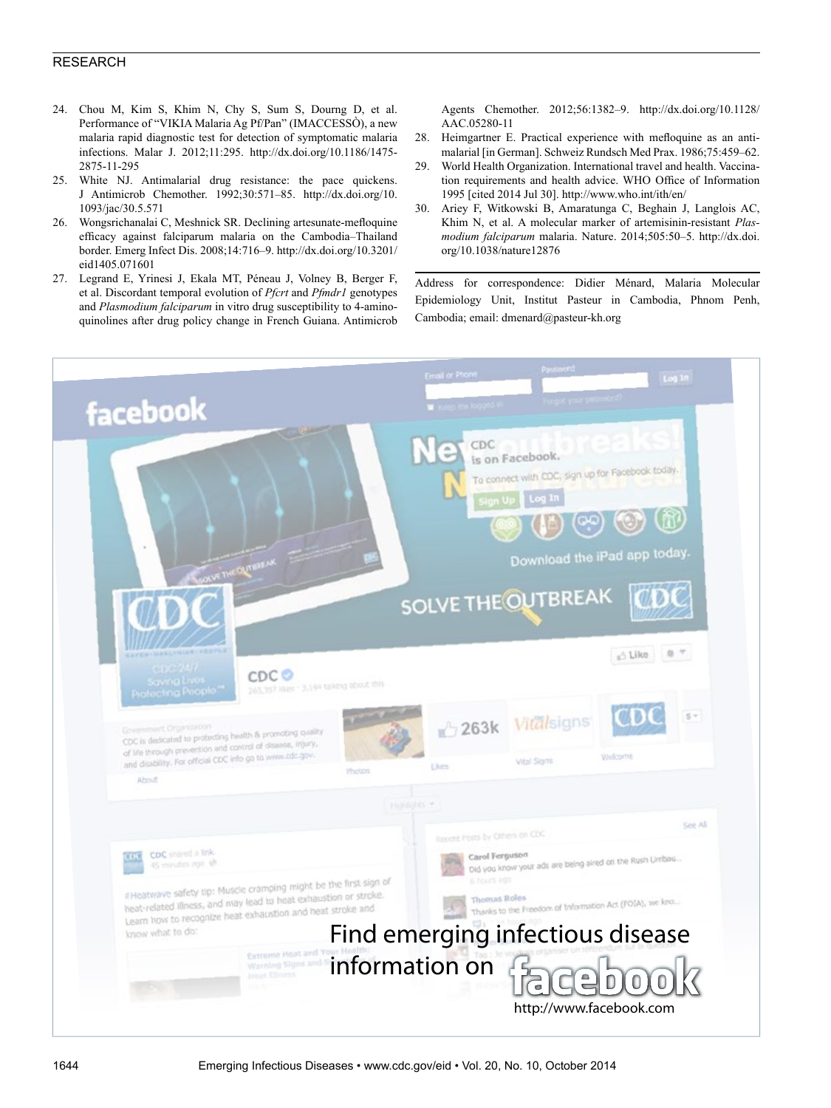- 24. Chou M, Kim S, Khim N, Chy S, Sum S, Dourng D, et al. Performance of "VIKIA Malaria Ag Pf/Pan" (IMACCESSÒ), a new malaria rapid diagnostic test for detection of symptomatic malaria infections. Malar J. 2012;11:295. http://dx.doi.org/10.1186/1475- 2875-11-295
- 25. White NJ. Antimalarial drug resistance: the pace quickens. J Antimicrob Chemother. 1992;30:571–85. http://dx.doi.org/10. 1093/jac/30.5.571
- 26. Wongsrichanalai C, Meshnick SR. Declining artesunate-mefloquine efficacy against falciparum malaria on the Cambodia–Thailand border. Emerg Infect Dis. 2008;14:716–9. http://dx.doi.org/10.3201/ eid1405.071601
- 27. Legrand E, Yrinesi J, Ekala MT, Péneau J, Volney B, Berger F, et al. Discordant temporal evolution of *Pfcrt* and *Pfmdr1* genotypes and *Plasmodium falciparum* in vitro drug susceptibility to 4-aminoquinolines after drug policy change in French Guiana. Antimicrob

Agents Chemother. 2012;56:1382–9. http://dx.doi.org/10.1128/ AAC.05280-11

- 28. Heimgartner E. Practical experience with mefloquine as an antimalarial [in German]. Schweiz Rundsch Med Prax. 1986;75:459–62.
- 29. World Health Organization. International travel and health. Vaccination requirements and health advice. WHO Office of Information 1995 [cited 2014 Jul 30]. http://www.who.int/ith/en/
- 30. Ariey F, Witkowski B, Amaratunga C, Beghain J, Langlois AC, Khim N, et al. A molecular marker of artemisinin-resistant *Plasmodium falciparum* malaria. Nature. 2014;505:50–5. http://dx.doi. org/10.1038/nature12876

Address for correspondence: Didier Ménard, Malaria Molecular Epidemiology Unit, Institut Pasteur in Cambodia, Phnom Penh, Cambodia; email: dmenard@pasteur-kh.org